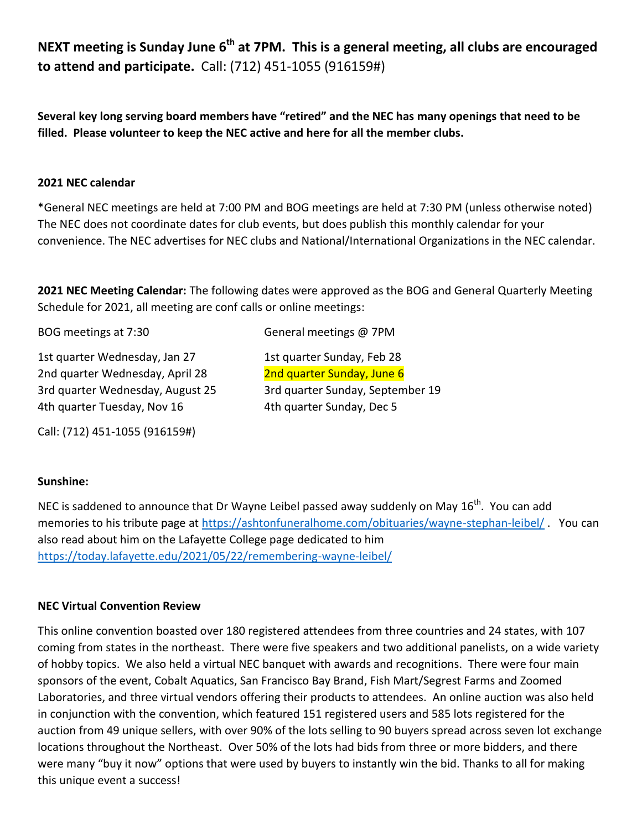**NEXT meeting is Sunday June 6th at 7PM. This is a general meeting, all clubs are encouraged to attend and participate.** Call: (712) 451-1055 (916159#)

**Several key long serving board members have "retired" and the NEC has many openings that need to be filled. Please volunteer to keep the NEC active and here for all the member clubs.**

#### **2021 NEC calendar**

\*General NEC meetings are held at 7:00 PM and BOG meetings are held at 7:30 PM (unless otherwise noted) The NEC does not coordinate dates for club events, but does publish this monthly calendar for your convenience. The NEC advertises for NEC clubs and National/International Organizations in the NEC calendar.

**2021 NEC Meeting Calendar:** The following dates were approved as the BOG and General Quarterly Meeting Schedule for 2021, all meeting are conf calls or online meetings:

BOG meetings at 7:30 General meetings @ 7PM

1st quarter Wednesday, Jan 27 1st quarter Sunday, Feb 28 2nd quarter Wednesday, April 28 2nd quarter Sunday, June 6 4th quarter Tuesday, Nov 16 4th quarter Sunday, Dec 5

Call: (712) 451-1055 (916159#)

3rd quarter Wednesday, August 25 3rd quarter Sunday, September 19

## **Sunshine:**

NEC is saddened to announce that Dr Wayne Leibel passed away suddenly on May  $16^{th}$ . You can add memories to his tribute page at<https://ashtonfuneralhome.com/obituaries/wayne-stephan-leibel/>. You can also read about him on the Lafayette College page dedicated to him <https://today.lafayette.edu/2021/05/22/remembering-wayne-leibel/>

## **NEC Virtual Convention Review**

This online convention boasted over 180 registered attendees from three countries and 24 states, with 107 coming from states in the northeast. There were five speakers and two additional panelists, on a wide variety of hobby topics. We also held a virtual NEC banquet with awards and recognitions. There were four main sponsors of the event, Cobalt Aquatics, San Francisco Bay Brand, Fish Mart/Segrest Farms and Zoomed Laboratories, and three virtual vendors offering their products to attendees. An online auction was also held in conjunction with the convention, which featured 151 registered users and 585 lots registered for the auction from 49 unique sellers, with over 90% of the lots selling to 90 buyers spread across seven lot exchange locations throughout the Northeast. Over 50% of the lots had bids from three or more bidders, and there were many "buy it now" options that were used by buyers to instantly win the bid. Thanks to all for making this unique event a success!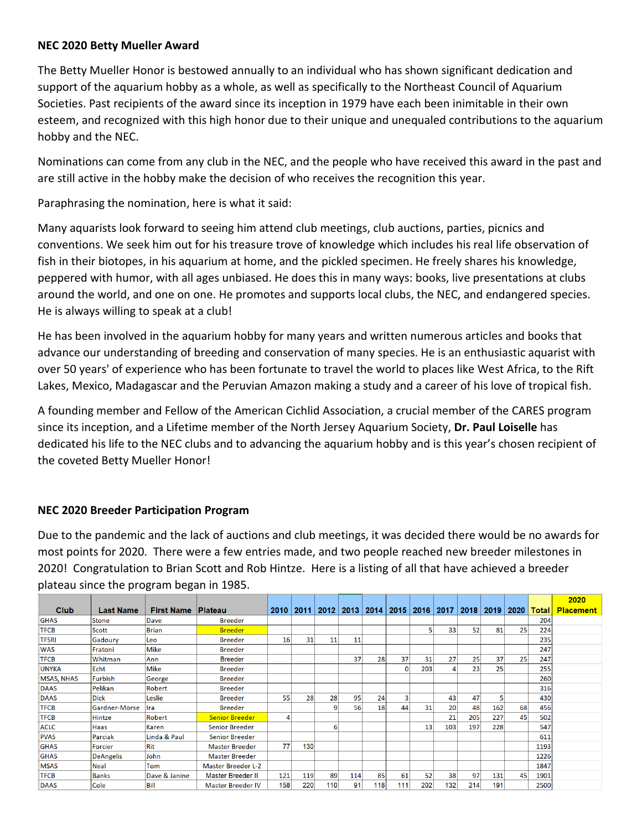# **NEC 2020 Betty Mueller Award**

The Betty Mueller Honor is bestowed annually to an individual who has shown significant dedication and support of the aquarium hobby as a whole, as well as specifically to the Northeast Council of Aquarium Societies. Past recipients of the award since its inception in 1979 have each been inimitable in their own esteem, and recognized with this high honor due to their unique and unequaled contributions to the aquarium hobby and the NEC.

Nominations can come from any club in the NEC, and the people who have received this award in the past and are still active in the hobby make the decision of who receives the recognition this year.

Paraphrasing the nomination, here is what it said:

Many aquarists look forward to seeing him attend club meetings, club auctions, parties, picnics and conventions. We seek him out for his treasure trove of knowledge which includes his real life observation of fish in their biotopes, in his aquarium at home, and the pickled specimen. He freely shares his knowledge, peppered with humor, with all ages unbiased. He does this in many ways: books, live presentations at clubs around the world, and one on one. He promotes and supports local clubs, the NEC, and endangered species. He is always willing to speak at a club!

He has been involved in the aquarium hobby for many years and written numerous articles and books that advance our understanding of breeding and conservation of many species. He is an enthusiastic aquarist with over 50 years' of experience who has been fortunate to travel the world to places like West Africa, to the Rift Lakes, Mexico, Madagascar and the Peruvian Amazon making a study and a career of his love of tropical fish.

A founding member and Fellow of the American Cichlid Association, a crucial member of the CARES program since its inception, and a Lifetime member of the North Jersey Aquarium Society, **Dr. Paul Loiselle** has dedicated his life to the NEC clubs and to advancing the aquarium hobby and is this year's chosen recipient of the coveted Betty Mueller Honor!

## **NEC 2020 Breeder Participation Program**

Due to the pandemic and the lack of auctions and club meetings, it was decided there would be no awards for most points for 2020. There were a few entries made, and two people reached new breeder milestones in 2020! Congratulation to Brian Scott and Rob Hintze. Here is a listing of all that have achieved a breeder plateau since the program began in 1985.

|                   |                  |                   |                           |           |     |      |             |     |     |                    |     |     |             |      |              | 2020             |
|-------------------|------------------|-------------------|---------------------------|-----------|-----|------|-------------|-----|-----|--------------------|-----|-----|-------------|------|--------------|------------------|
| Club              | <b>Last Name</b> | <b>First Name</b> | Plateau                   | 2010 2011 |     | 2012 | 2013   2014 |     |     | 2015   2016   2017 |     |     | 2018   2019 | 2020 | <b>Total</b> | <b>Placement</b> |
| <b>GHAS</b>       | <b>Stone</b>     | <b>Dave</b>       | <b>Breeder</b>            |           |     |      |             |     |     |                    |     |     |             |      | 204          |                  |
| <b>TFCB</b>       | Scott            | <b>Brian</b>      | <b>Breeder</b>            |           |     |      |             |     |     |                    | 33  | 52  | 81          | 25   | 224          |                  |
| <b>TFSRI</b>      | Gadoury          | Leo               | <b>Breeder</b>            | 16        | 31  | 11   | 11          |     |     |                    |     |     |             |      | 235          |                  |
| <b>WAS</b>        | Fratoni          | <b>Mike</b>       | <b>Breeder</b>            |           |     |      |             |     |     |                    |     |     |             |      | 247          |                  |
| <b>TFCB</b>       | Whitman          | Ann               | <b>Breeder</b>            |           |     |      | 37          | 28  | 37  | 31                 | 27  | 25  | 37          | 25   | 247          |                  |
| <b>UNYKA</b>      | Echt             | Mike              | <b>Breeder</b>            |           |     |      |             |     |     | 203                |     | 23  | 25          |      | 255          |                  |
| <b>MSAS, NHAS</b> | <b>Furbish</b>   | George            | <b>Breeder</b>            |           |     |      |             |     |     |                    |     |     |             |      | 260          |                  |
| <b>DAAS</b>       | Pelikan          | Robert            | <b>Breeder</b>            |           |     |      |             |     |     |                    |     |     |             |      | 316          |                  |
| <b>DAAS</b>       | <b>Dick</b>      | Leslie            | <b>Breeder</b>            | 55        | 28  | 28   | 95          | 24  |     |                    | 43  | 47  |             |      | 430          |                  |
| <b>TFCB</b>       | Gardner-Morse    | Ilra              | <b>Breeder</b>            |           |     |      | 56          | 18  | 44  | 31                 | 20  | 48  | 162         | 68   | 456          |                  |
| <b>TFCB</b>       | Hintze           | Robert            | <b>Senior Breeder</b>     |           |     |      |             |     |     |                    | 21  | 205 | 227         | 45   | 502          |                  |
| <b>ACLC</b>       | Haas             | Karen             | <b>Senior Breeder</b>     |           |     | 6    |             |     |     | 13                 | 103 | 197 | 228         |      | 547          |                  |
| <b>PVAS</b>       | Parciak          | Linda & Paul      | <b>Senior Breeder</b>     |           |     |      |             |     |     |                    |     |     |             |      | 611          |                  |
| <b>GHAS</b>       | <b>Forcier</b>   | Rit               | <b>Master Breeder</b>     | 77        | 130 |      |             |     |     |                    |     |     |             |      | 1193         |                  |
| <b>GHAS</b>       | <b>DeAngelis</b> | John              | <b>Master Breeder</b>     |           |     |      |             |     |     |                    |     |     |             |      | 1226         |                  |
| <b>MSAS</b>       | <b>Neal</b>      | Tom               | <b>Master Breeder L-2</b> |           |     |      |             |     |     |                    |     |     |             |      | 1847         |                  |
| <b>TFCB</b>       | <b>Banks</b>     | Dave & Janine     | <b>Master Breeder II</b>  | 121       | 119 | 89   | 114         | 85  | 61  | 52                 | 38  | 97  | 131         | 45   | 1901         |                  |
| <b>DAAS</b>       | Cole             | Bill              | <b>Master Breeder IV</b>  | 158       | 220 | 110  | 91          | 118 | 111 | 202                | 132 | 214 | 191         |      | 2500         |                  |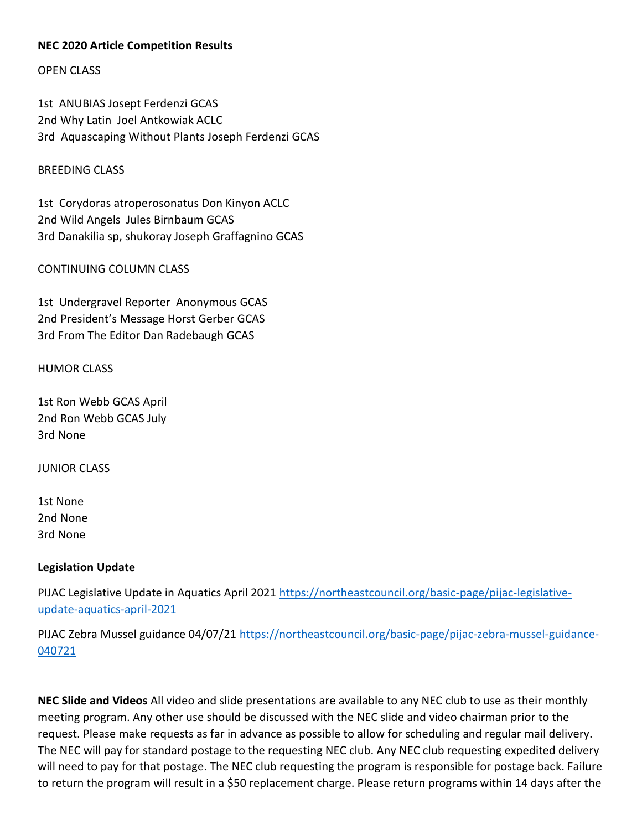# **NEC 2020 Article Competition Results**

OPEN CLASS

1st ANUBIAS Josept Ferdenzi GCAS 2nd Why Latin Joel Antkowiak ACLC 3rd Aquascaping Without Plants Joseph Ferdenzi GCAS

#### BREEDING CLASS

1st Corydoras atroperosonatus Don Kinyon ACLC 2nd Wild Angels Jules Birnbaum GCAS 3rd Danakilia sp, shukoray Joseph Graffagnino GCAS

#### CONTINUING COLUMN CLASS

1st Undergravel Reporter Anonymous GCAS 2nd President's Message Horst Gerber GCAS 3rd From The Editor Dan Radebaugh GCAS

#### HUMOR CLASS

1st Ron Webb GCAS April 2nd Ron Webb GCAS July 3rd None

JUNIOR CLASS

1st None 2nd None 3rd None

## **Legislation Update**

PIJAC Legislative Update in Aquatics April 2021 [https://northeastcouncil.org/basic-page/pijac-legislative](https://northeastcouncil.org/basic-page/pijac-legislative-update-aquatics-april-2021)[update-aquatics-april-2021](https://northeastcouncil.org/basic-page/pijac-legislative-update-aquatics-april-2021)

PIJAC Zebra Mussel guidance 04/07/21 [https://northeastcouncil.org/basic-page/pijac-zebra-mussel-guidance-](https://northeastcouncil.org/basic-page/pijac-zebra-mussel-guidance-040721)[040721](https://northeastcouncil.org/basic-page/pijac-zebra-mussel-guidance-040721)

**NEC Slide and Videos** All video and slide presentations are available to any NEC club to use as their monthly meeting program. Any other use should be discussed with the NEC slide and video chairman prior to the request. Please make requests as far in advance as possible to allow for scheduling and regular mail delivery. The NEC will pay for standard postage to the requesting NEC club. Any NEC club requesting expedited delivery will need to pay for that postage. The NEC club requesting the program is responsible for postage back. Failure to return the program will result in a \$50 replacement charge. Please return programs within 14 days after the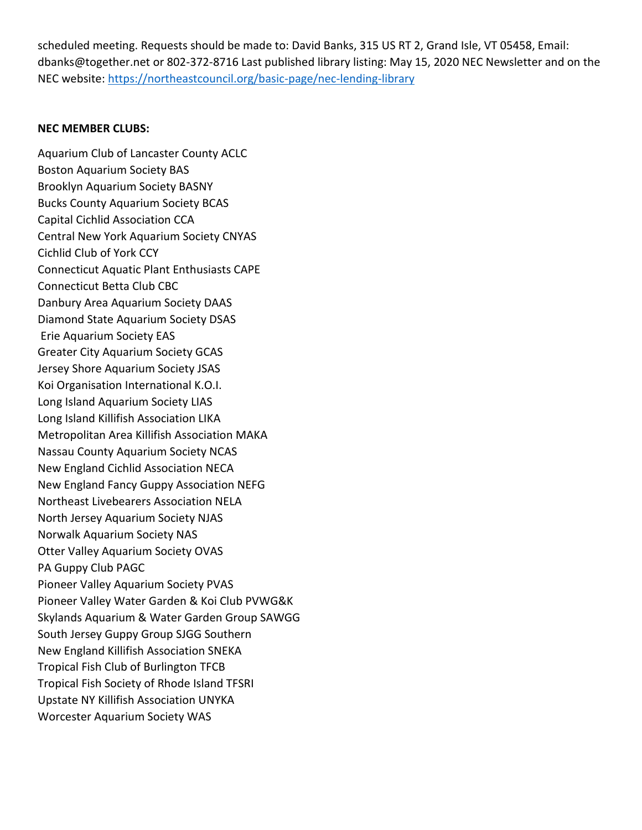scheduled meeting. Requests should be made to: David Banks, 315 US RT 2, Grand Isle, VT 05458, Email: dbanks@together.net or 802-372-8716 Last published library listing: May 15, 2020 NEC Newsletter and on the NEC website:<https://northeastcouncil.org/basic-page/nec-lending-library>

#### **NEC MEMBER CLUBS:**

Aquarium Club of Lancaster County ACLC Boston Aquarium Society BAS Brooklyn Aquarium Society BASNY Bucks County Aquarium Society BCAS Capital Cichlid Association CCA Central New York Aquarium Society CNYAS Cichlid Club of York CCY Connecticut Aquatic Plant Enthusiasts CAPE Connecticut Betta Club CBC Danbury Area Aquarium Society DAAS Diamond State Aquarium Society DSAS Erie Aquarium Society EAS Greater City Aquarium Society GCAS Jersey Shore Aquarium Society JSAS Koi Organisation International K.O.I. Long Island Aquarium Society LIAS Long Island Killifish Association LIKA Metropolitan Area Killifish Association MAKA Nassau County Aquarium Society NCAS New England Cichlid Association NECA New England Fancy Guppy Association NEFG Northeast Livebearers Association NELA North Jersey Aquarium Society NJAS Norwalk Aquarium Society NAS Otter Valley Aquarium Society OVAS PA Guppy Club PAGC Pioneer Valley Aquarium Society PVAS Pioneer Valley Water Garden & Koi Club PVWG&K Skylands Aquarium & Water Garden Group SAWGG South Jersey Guppy Group SJGG Southern New England Killifish Association SNEKA Tropical Fish Club of Burlington TFCB Tropical Fish Society of Rhode Island TFSRI Upstate NY Killifish Association UNYKA Worcester Aquarium Society WAS